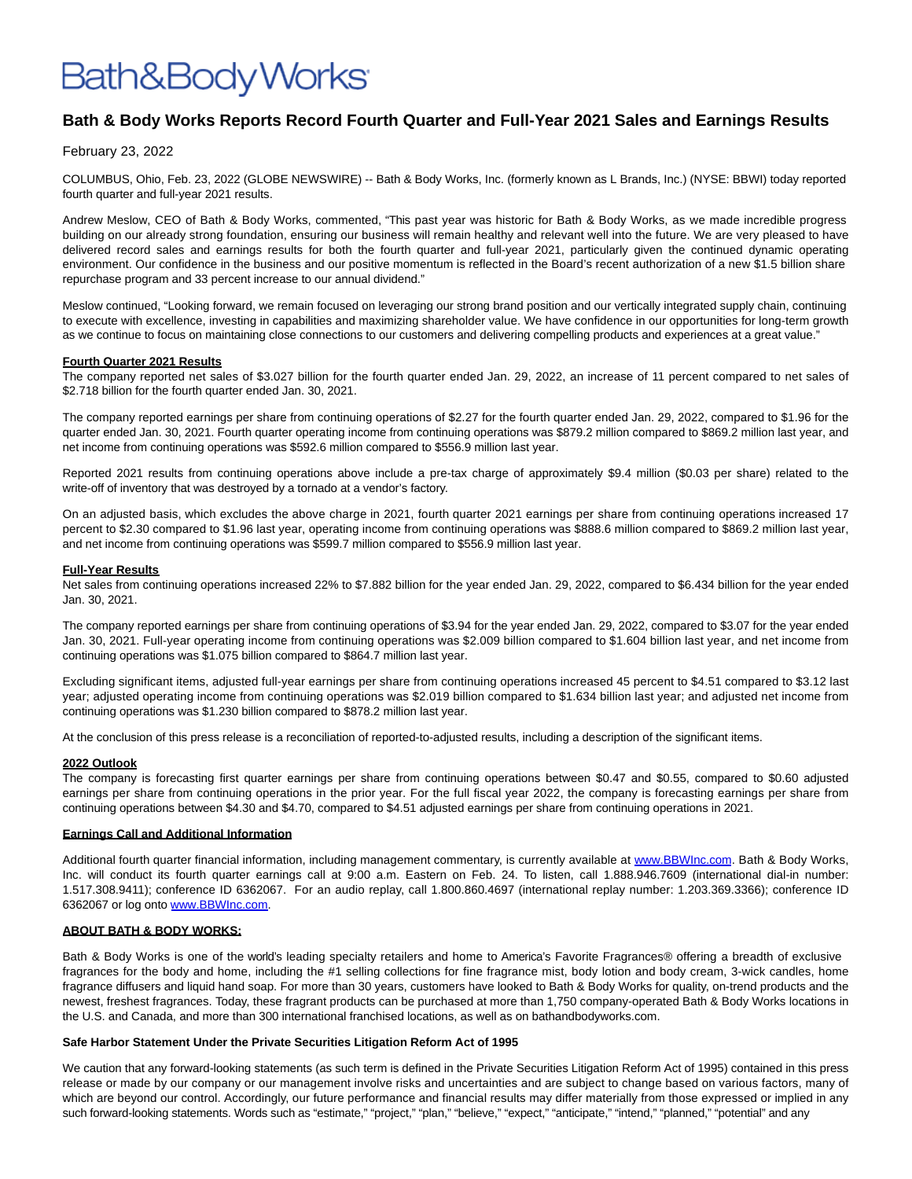# Bath&BodyWorks<sup>®</sup>

# **Bath & Body Works Reports Record Fourth Quarter and Full-Year 2021 Sales and Earnings Results**

#### February 23, 2022

COLUMBUS, Ohio, Feb. 23, 2022 (GLOBE NEWSWIRE) -- Bath & Body Works, Inc. (formerly known as L Brands, Inc.) (NYSE: BBWI) today reported fourth quarter and full-year 2021 results.

Andrew Meslow, CEO of Bath & Body Works, commented, "This past year was historic for Bath & Body Works, as we made incredible progress building on our already strong foundation, ensuring our business will remain healthy and relevant well into the future. We are very pleased to have delivered record sales and earnings results for both the fourth quarter and full-year 2021, particularly given the continued dynamic operating environment. Our confidence in the business and our positive momentum is reflected in the Board's recent authorization of a new \$1.5 billion share repurchase program and 33 percent increase to our annual dividend."

Meslow continued, "Looking forward, we remain focused on leveraging our strong brand position and our vertically integrated supply chain, continuing to execute with excellence, investing in capabilities and maximizing shareholder value. We have confidence in our opportunities for long-term growth as we continue to focus on maintaining close connections to our customers and delivering compelling products and experiences at a great value."

#### **Fourth Quarter 2021 Results**

The company reported net sales of \$3.027 billion for the fourth quarter ended Jan. 29, 2022, an increase of 11 percent compared to net sales of \$2.718 billion for the fourth quarter ended Jan. 30, 2021.

The company reported earnings per share from continuing operations of \$2.27 for the fourth quarter ended Jan. 29, 2022, compared to \$1.96 for the quarter ended Jan. 30, 2021. Fourth quarter operating income from continuing operations was \$879.2 million compared to \$869.2 million last year, and net income from continuing operations was \$592.6 million compared to \$556.9 million last year.

Reported 2021 results from continuing operations above include a pre-tax charge of approximately \$9.4 million (\$0.03 per share) related to the write-off of inventory that was destroyed by a tornado at a vendor's factory.

On an adjusted basis, which excludes the above charge in 2021, fourth quarter 2021 earnings per share from continuing operations increased 17 percent to \$2.30 compared to \$1.96 last year, operating income from continuing operations was \$888.6 million compared to \$869.2 million last year, and net income from continuing operations was \$599.7 million compared to \$556.9 million last year.

#### **Full-Year Results**

Net sales from continuing operations increased 22% to \$7.882 billion for the year ended Jan. 29, 2022, compared to \$6.434 billion for the year ended Jan. 30, 2021.

The company reported earnings per share from continuing operations of \$3.94 for the year ended Jan. 29, 2022, compared to \$3.07 for the year ended Jan. 30, 2021. Full-year operating income from continuing operations was \$2.009 billion compared to \$1.604 billion last year, and net income from continuing operations was \$1.075 billion compared to \$864.7 million last year.

Excluding significant items, adjusted full-year earnings per share from continuing operations increased 45 percent to \$4.51 compared to \$3.12 last year; adjusted operating income from continuing operations was \$2.019 billion compared to \$1.634 billion last year; and adjusted net income from continuing operations was \$1.230 billion compared to \$878.2 million last year.

At the conclusion of this press release is a reconciliation of reported-to-adjusted results, including a description of the significant items.

#### **2022 Outlook**

The company is forecasting first quarter earnings per share from continuing operations between \$0.47 and \$0.55, compared to \$0.60 adjusted earnings per share from continuing operations in the prior year. For the full fiscal year 2022, the company is forecasting earnings per share from continuing operations between \$4.30 and \$4.70, compared to \$4.51 adjusted earnings per share from continuing operations in 2021.

#### **Earnings Call and Additional Information**

Additional fourth quarter financial information, including management commentary, is currently available at [www.BBWInc.com.](https://www.globenewswire.com/Tracker?data=ZMo6tmvoVydRCYhixTCgMTrgPmYAw7f1VnSt1FZnFw3lQ-v2yW5K2NGmOzmn2Ni6_aRiGSfdTwJKPFTUNn4ruQ==) Bath & Body Works, Inc. will conduct its fourth quarter earnings call at 9:00 a.m. Eastern on Feb. 24. To listen, call 1.888.946.7609 (international dial-in number: 1.517.308.9411); conference ID 6362067. For an audio replay, call 1.800.860.4697 (international replay number: 1.203.369.3366); conference ID 6362067 or log onto [www.BBWInc.com.](https://www.globenewswire.com/Tracker?data=ZMo6tmvoVydRCYhixTCgMQNCoeQV7aG7gYCLfMl82YgkadtKNW77MHKHg-qLLHQe1rzlnTlR-c6qZP1RMHZCeA==) 

#### **ABOUT BATH & BODY WORKS:**

Bath & Body Works is one of the world's leading specialty retailers and home to America's Favorite Fragrances® offering a breadth of exclusive fragrances for the body and home, including the #1 selling collections for fine fragrance mist, body lotion and body cream, 3-wick candles, home fragrance diffusers and liquid hand soap. For more than 30 years, customers have looked to Bath & Body Works for quality, on-trend products and the newest, freshest fragrances. Today, these fragrant products can be purchased at more than 1,750 company-operated Bath & Body Works locations in the U.S. and Canada, and more than 300 international franchised locations, as well as on bathandbodyworks.com.

#### **Safe Harbor Statement Under the Private Securities Litigation Reform Act of 1995**

We caution that any forward-looking statements (as such term is defined in the Private Securities Litigation Reform Act of 1995) contained in this press release or made by our company or our management involve risks and uncertainties and are subject to change based on various factors, many of which are beyond our control. Accordingly, our future performance and financial results may differ materially from those expressed or implied in any such forward-looking statements. Words such as "estimate," "project," "plan," "believe," "expect," "anticipate," "intend," "planned," "potential" and any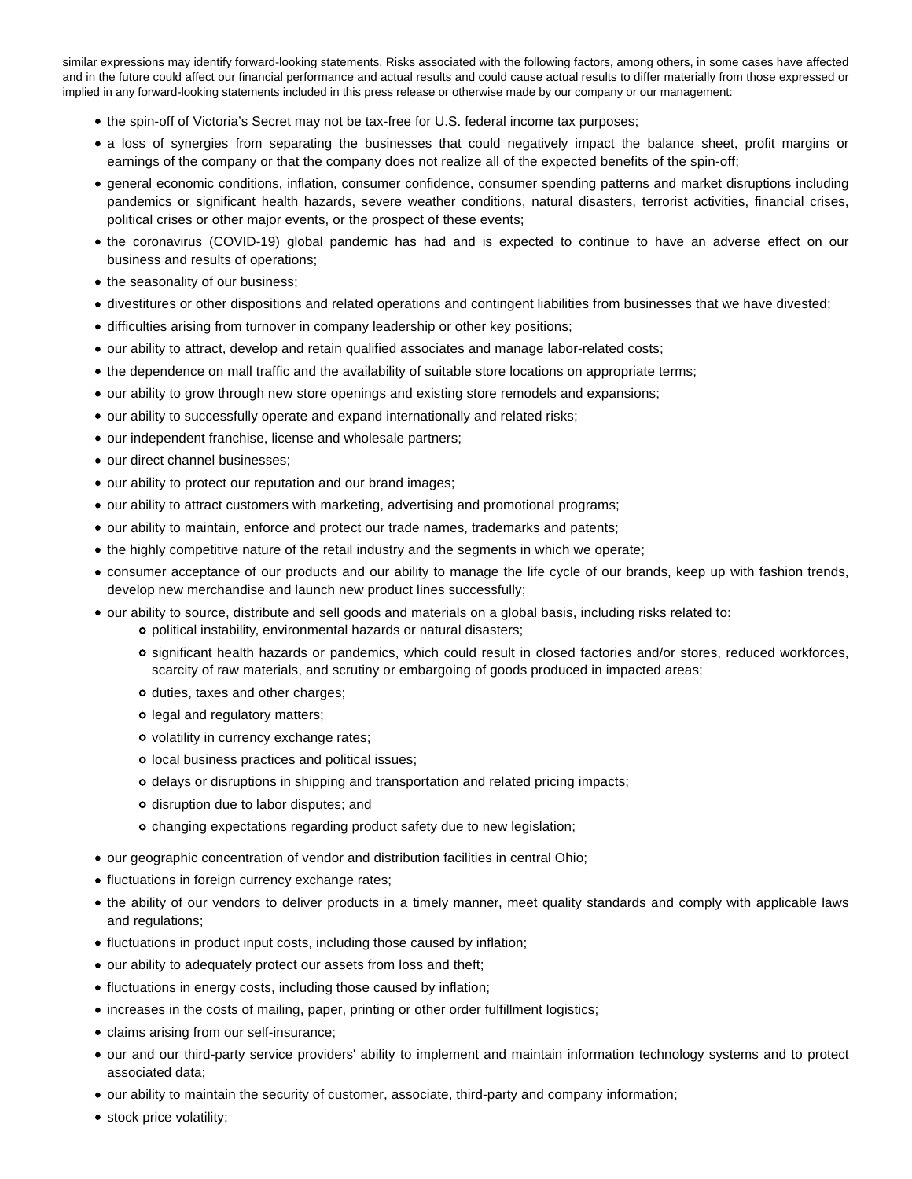similar expressions may identify forward-looking statements. Risks associated with the following factors, among others, in some cases have affected and in the future could affect our financial performance and actual results and could cause actual results to differ materially from those expressed or implied in any forward-looking statements included in this press release or otherwise made by our company or our management:

- the spin-off of Victoria's Secret may not be tax-free for U.S. federal income tax purposes;
- a loss of synergies from separating the businesses that could negatively impact the balance sheet, profit margins or earnings of the company or that the company does not realize all of the expected benefits of the spin-off;
- general economic conditions, inflation, consumer confidence, consumer spending patterns and market disruptions including pandemics or significant health hazards, severe weather conditions, natural disasters, terrorist activities, financial crises, political crises or other major events, or the prospect of these events;
- the coronavirus (COVID-19) global pandemic has had and is expected to continue to have an adverse effect on our business and results of operations;
- the seasonality of our business;
- divestitures or other dispositions and related operations and contingent liabilities from businesses that we have divested;
- difficulties arising from turnover in company leadership or other key positions;
- our ability to attract, develop and retain qualified associates and manage labor-related costs;
- the dependence on mall traffic and the availability of suitable store locations on appropriate terms;
- our ability to grow through new store openings and existing store remodels and expansions;
- our ability to successfully operate and expand internationally and related risks;
- our independent franchise, license and wholesale partners;
- our direct channel businesses;
- our ability to protect our reputation and our brand images;
- our ability to attract customers with marketing, advertising and promotional programs;
- our ability to maintain, enforce and protect our trade names, trademarks and patents;
- the highly competitive nature of the retail industry and the segments in which we operate;
- consumer acceptance of our products and our ability to manage the life cycle of our brands, keep up with fashion trends, develop new merchandise and launch new product lines successfully;
- our ability to source, distribute and sell goods and materials on a global basis, including risks related to:
	- political instability, environmental hazards or natural disasters;
	- significant health hazards or pandemics, which could result in closed factories and/or stores, reduced workforces, scarcity of raw materials, and scrutiny or embargoing of goods produced in impacted areas;
	- duties, taxes and other charges;
	- o legal and regulatory matters;
	- o volatility in currency exchange rates;
	- o local business practices and political issues;
	- o delays or disruptions in shipping and transportation and related pricing impacts;
	- o disruption due to labor disputes; and
	- changing expectations regarding product safety due to new legislation;
- our geographic concentration of vendor and distribution facilities in central Ohio;
- fluctuations in foreign currency exchange rates;
- the ability of our vendors to deliver products in a timely manner, meet quality standards and comply with applicable laws and regulations;
- fluctuations in product input costs, including those caused by inflation;
- our ability to adequately protect our assets from loss and theft;
- fluctuations in energy costs, including those caused by inflation;
- increases in the costs of mailing, paper, printing or other order fulfillment logistics;
- claims arising from our self-insurance;
- our and our third-party service providers' ability to implement and maintain information technology systems and to protect associated data;
- our ability to maintain the security of customer, associate, third-party and company information;
- stock price volatility;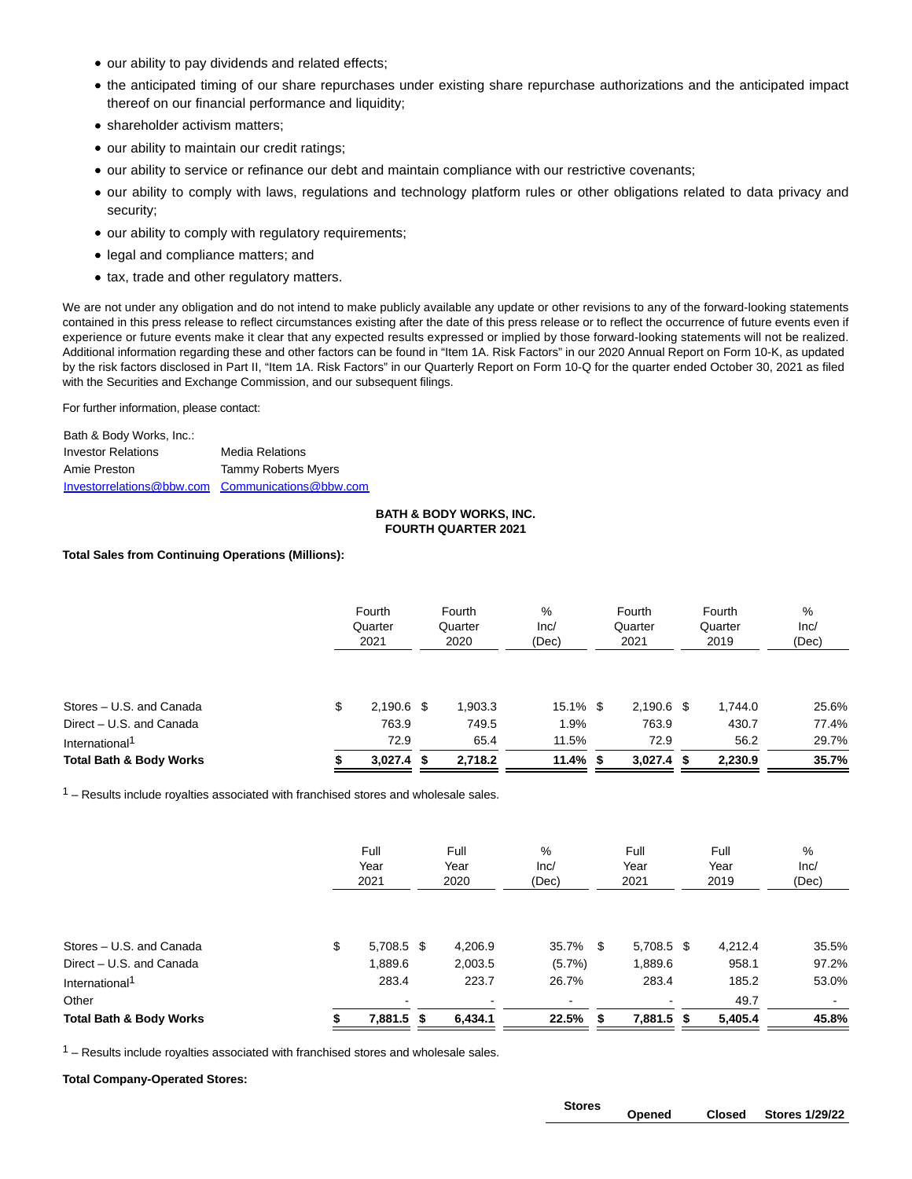- our ability to pay dividends and related effects;
- the anticipated timing of our share repurchases under existing share repurchase authorizations and the anticipated impact thereof on our financial performance and liquidity;
- shareholder activism matters;
- our ability to maintain our credit ratings;
- our ability to service or refinance our debt and maintain compliance with our restrictive covenants;
- our ability to comply with laws, regulations and technology platform rules or other obligations related to data privacy and security;
- our ability to comply with regulatory requirements;
- legal and compliance matters; and
- tax, trade and other regulatory matters.

We are not under any obligation and do not intend to make publicly available any update or other revisions to any of the forward-looking statements contained in this press release to reflect circumstances existing after the date of this press release or to reflect the occurrence of future events even if experience or future events make it clear that any expected results expressed or implied by those forward-looking statements will not be realized. Additional information regarding these and other factors can be found in "Item 1A. Risk Factors" in our 2020 Annual Report on Form 10-K, as updated by the risk factors disclosed in Part II, "Item 1A. Risk Factors" in our Quarterly Report on Form 10-Q for the quarter ended October 30, 2021 as filed with the Securities and Exchange Commission, and our subsequent filings.

For further information, please contact:

Bath & Body Works, Inc.: **Investor Relations** Media Relations Amie Preston Tammy Roberts Myers [Investorrelations@bbw.com](mailto:Investorrelations@bbw.com) [Communications@bbw.com](mailto:Communications@bbw.com)

#### **BATH & BODY WORKS, INC. FOURTH QUARTER 2021**

#### **Total Sales from Continuing Operations (Millions):**

|                                                        | Fourth<br>Quarter<br>2021 |  | %<br>Fourth<br>lnc/<br>Quarter<br>2020<br>(Dec) |               | Fourth<br>Quarter<br>2021 |               | Fourth<br>Quarter<br>2019 |               | %<br>lnc/<br>(Dec) |
|--------------------------------------------------------|---------------------------|--|-------------------------------------------------|---------------|---------------------------|---------------|---------------------------|---------------|--------------------|
| Stores - U.S. and Canada                               | \$<br>$2,190.6$ \$        |  | 1,903.3                                         | $15.1\%$ \$   |                           | $2,190.6$ \$  |                           | 1,744.0       | 25.6%              |
| Direct - U.S. and Canada<br>International <sup>1</sup> | 763.9<br>72.9             |  | 749.5<br>65.4                                   | 1.9%<br>11.5% |                           | 763.9<br>72.9 |                           | 430.7<br>56.2 | 77.4%<br>29.7%     |
| <b>Total Bath &amp; Body Works</b>                     | $3,027.4$ \$              |  | 2,718.2                                         | 11.4%         |                           | 3,027.4       |                           | 2,230.9       | 35.7%              |

 $1 -$  Results include royalties associated with franchised stores and wholesale sales.

|                                                      | Full<br>Year<br>2021          |  | Full<br>%<br>lnc/<br>Year<br>2020<br>(Dec) |                         | Full<br>Year<br>2021 |                         | Full<br>Year<br>2019 |                  | %<br>lnc/<br>(Dec) |  |
|------------------------------------------------------|-------------------------------|--|--------------------------------------------|-------------------------|----------------------|-------------------------|----------------------|------------------|--------------------|--|
| Stores - U.S. and Canada<br>Direct - U.S. and Canada | \$<br>$5,708.5$ \$<br>1,889.6 |  | 4,206.9<br>2,003.5                         | 35.7%<br>$(5.7\%)$      | -SS                  | $5,708.5$ \$<br>1,889.6 |                      | 4,212.4<br>958.1 | 35.5%<br>97.2%     |  |
| International <sup>1</sup><br>Other                  | 283.4                         |  | 223.7                                      | 26.7%<br>$\blacksquare$ |                      | 283.4                   |                      | 185.2<br>49.7    | 53.0%              |  |
| <b>Total Bath &amp; Body Works</b>                   | 7,881.5                       |  | 6,434.1                                    | 22.5%                   |                      | 7,881.5                 |                      | 5,405.4          | 45.8%              |  |

 $1 -$  Results include royalties associated with franchised stores and wholesale sales.

#### **Total Company-Operated Stores:**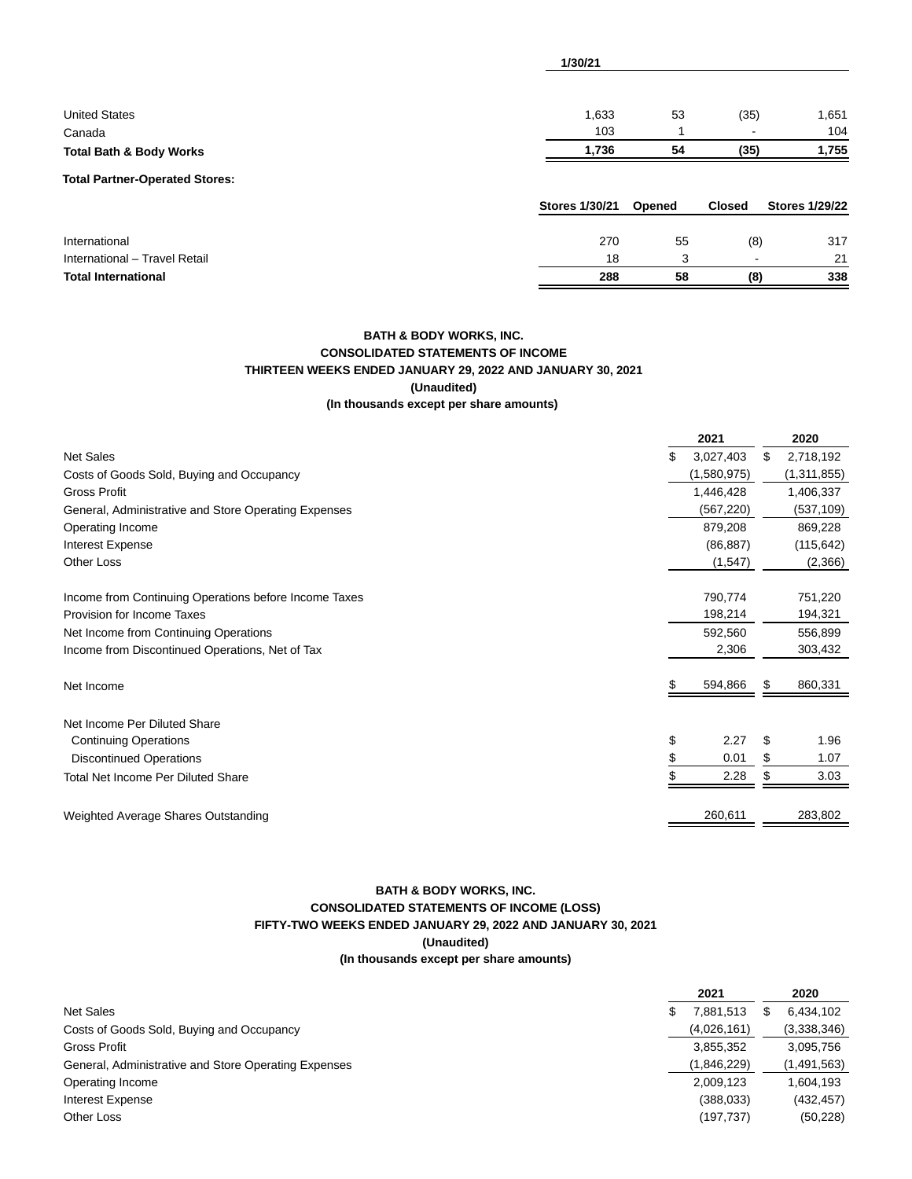|                                       | 1/30/21               |        |                          |                       |
|---------------------------------------|-----------------------|--------|--------------------------|-----------------------|
| <b>United States</b>                  | 1,633                 | 53     | (35)                     | 1,651                 |
| Canada                                | 103                   |        | $\overline{\phantom{a}}$ | 104                   |
| <b>Total Bath &amp; Body Works</b>    | 1,736                 | 54     | (35)                     | 1,755                 |
| <b>Total Partner-Operated Stores:</b> |                       |        |                          |                       |
|                                       | <b>Stores 1/30/21</b> | Opened | <b>Closed</b>            | <b>Stores 1/29/22</b> |
| International                         | 270                   | 55     | (8)                      | 317                   |
| International - Travel Retail         | 18                    | 3      | $\overline{\phantom{a}}$ | 21                    |
| <b>Total International</b>            | 288                   | 58     | (8)                      | 338                   |

## **BATH & BODY WORKS, INC. CONSOLIDATED STATEMENTS OF INCOME THIRTEEN WEEKS ENDED JANUARY 29, 2022 AND JANUARY 30, 2021 (Unaudited) (In thousands except per share amounts)**

|                                                       | 2021            |   | 2020        |
|-------------------------------------------------------|-----------------|---|-------------|
| <b>Net Sales</b>                                      | \$<br>3,027,403 | S | 2,718,192   |
| Costs of Goods Sold, Buying and Occupancy             | (1,580,975)     |   | (1,311,855) |
| <b>Gross Profit</b>                                   | 1,446,428       |   | 1,406,337   |
| General, Administrative and Store Operating Expenses  | (567, 220)      |   | (537, 109)  |
| Operating Income                                      | 879,208         |   | 869,228     |
| <b>Interest Expense</b>                               | (86, 887)       |   | (115, 642)  |
| Other Loss                                            | (1, 547)        |   | (2,366)     |
| Income from Continuing Operations before Income Taxes | 790,774         |   | 751,220     |
| Provision for Income Taxes                            | 198,214         |   | 194,321     |
| Net Income from Continuing Operations                 | 592,560         |   | 556,899     |
| Income from Discontinued Operations, Net of Tax       | 2,306           |   | 303,432     |
| Net Income                                            | 594,866         | S | 860,331     |
| Net Income Per Diluted Share                          |                 |   |             |
| <b>Continuing Operations</b>                          | \$<br>2.27      |   | 1.96        |
| <b>Discontinued Operations</b>                        | 0.01            | S | 1.07        |
| <b>Total Net Income Per Diluted Share</b>             | 2.28            |   | 3.03        |
| Weighted Average Shares Outstanding                   | 260,611         |   | 283,802     |

## **BATH & BODY WORKS, INC. CONSOLIDATED STATEMENTS OF INCOME (LOSS) FIFTY-TWO WEEKS ENDED JANUARY 29, 2022 AND JANUARY 30, 2021 (Unaudited) (In thousands except per share amounts)**

|                                                      | 2021            |   | 2020        |
|------------------------------------------------------|-----------------|---|-------------|
| <b>Net Sales</b>                                     | \$<br>7,881,513 | S | 6,434,102   |
| Costs of Goods Sold, Buying and Occupancy            | (4,026,161)     |   | (3,338,346) |
| Gross Profit                                         | 3,855,352       |   | 3,095,756   |
| General, Administrative and Store Operating Expenses | (1,846,229)     |   | (1,491,563) |
| Operating Income                                     | 2,009,123       |   | 1,604,193   |
| Interest Expense                                     | (388,033)       |   | (432, 457)  |
| <b>Other Loss</b>                                    | (197, 737)      |   | (50, 228)   |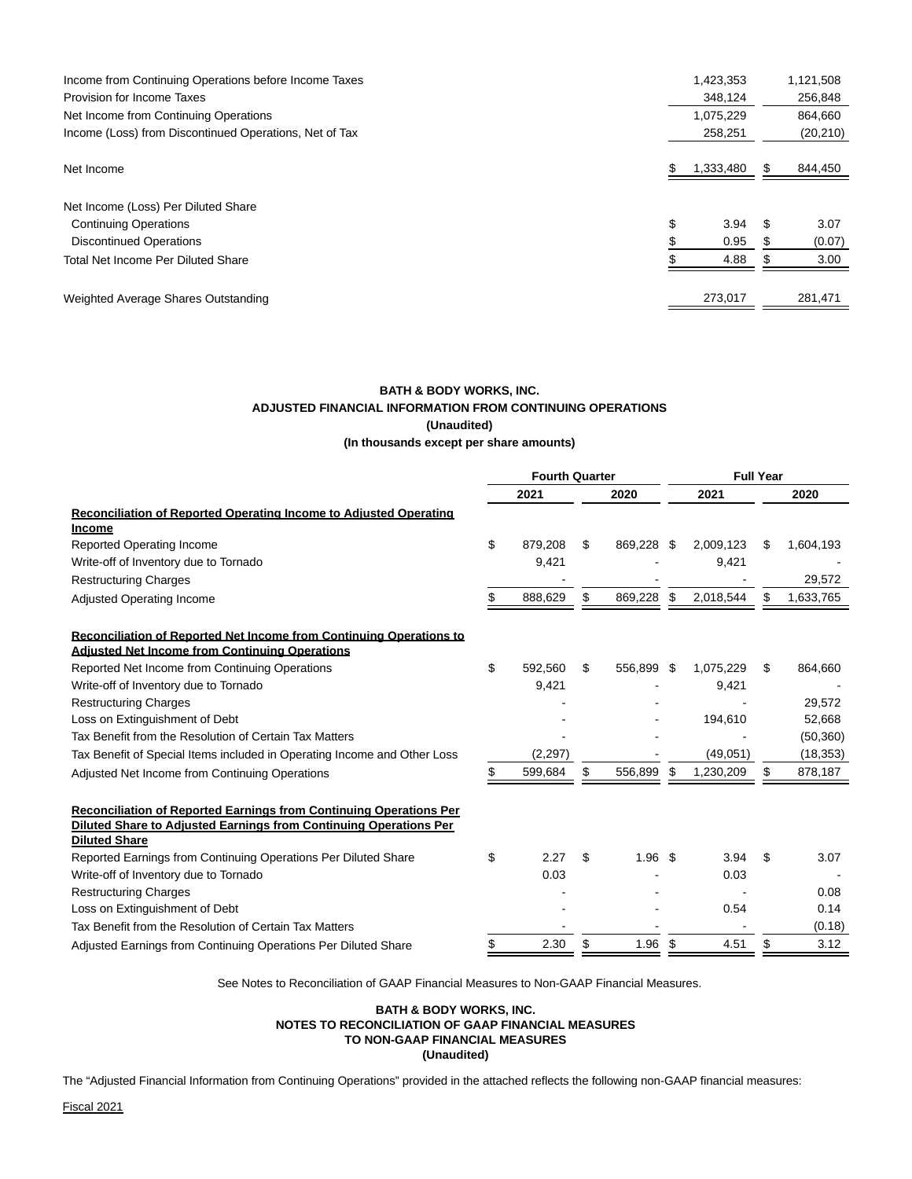| Income from Continuing Operations before Income Taxes  |    | 1,423,353 |   | 1,121,508 |
|--------------------------------------------------------|----|-----------|---|-----------|
| Provision for Income Taxes                             |    | 348,124   |   | 256,848   |
| Net Income from Continuing Operations                  |    | 1,075,229 |   | 864,660   |
| Income (Loss) from Discontinued Operations, Net of Tax |    | 258,251   |   | (20, 210) |
| Net Income                                             | S  | 1,333,480 | S | 844,450   |
|                                                        |    |           |   |           |
| Net Income (Loss) Per Diluted Share                    |    |           |   |           |
| <b>Continuing Operations</b>                           | \$ | 3.94      | S | 3.07      |
| <b>Discontinued Operations</b>                         |    | 0.95      | S | (0.07)    |
| Total Net Income Per Diluted Share                     |    | 4.88      |   | 3.00      |
|                                                        |    |           |   |           |
| Weighted Average Shares Outstanding                    |    | 273,017   |   | 281,471   |
|                                                        |    |           |   |           |

# **BATH & BODY WORKS, INC. ADJUSTED FINANCIAL INFORMATION FROM CONTINUING OPERATIONS (Unaudited)**

## **(In thousands except per share amounts)**

|                                                                                                                                                                 | <b>Fourth Quarter</b> |          |    |            | <b>Full Year</b> |           |    |           |
|-----------------------------------------------------------------------------------------------------------------------------------------------------------------|-----------------------|----------|----|------------|------------------|-----------|----|-----------|
|                                                                                                                                                                 |                       | 2021     |    | 2020       |                  | 2021      |    | 2020      |
| <b>Reconciliation of Reported Operating Income to Adjusted Operating</b><br><b>Income</b>                                                                       |                       |          |    |            |                  |           |    |           |
| <b>Reported Operating Income</b>                                                                                                                                | \$                    | 879,208  | \$ | 869,228    | \$.              | 2,009,123 | \$ | 1,604,193 |
| Write-off of Inventory due to Tornado                                                                                                                           |                       | 9,421    |    |            |                  | 9,421     |    |           |
| <b>Restructuring Charges</b>                                                                                                                                    |                       |          |    |            |                  |           |    | 29,572    |
| <b>Adjusted Operating Income</b>                                                                                                                                | S                     | 888,629  | \$ | 869,228    | \$               | 2,018,544 | S  | 1,633,765 |
| Reconciliation of Reported Net Income from Continuing Operations to<br><b>Adiusted Net Income from Continuing Operations</b>                                    |                       |          |    |            |                  |           |    |           |
| Reported Net Income from Continuing Operations                                                                                                                  | \$                    | 592,560  | \$ | 556,899 \$ |                  | 1,075,229 | \$ | 864,660   |
| Write-off of Inventory due to Tornado                                                                                                                           |                       | 9,421    |    |            |                  | 9,421     |    |           |
| <b>Restructuring Charges</b>                                                                                                                                    |                       |          |    |            |                  |           |    | 29,572    |
| Loss on Extinguishment of Debt                                                                                                                                  |                       |          |    |            |                  | 194,610   |    | 52,668    |
| Tax Benefit from the Resolution of Certain Tax Matters                                                                                                          |                       |          |    |            |                  |           |    | (50, 360) |
| Tax Benefit of Special Items included in Operating Income and Other Loss                                                                                        |                       | (2, 297) |    |            |                  | (49,051)  |    | (18, 353) |
| Adjusted Net Income from Continuing Operations                                                                                                                  | \$                    | 599,684  | \$ | 556,899    |                  | 1,230,209 |    | 878,187   |
| Reconciliation of Reported Earnings from Continuing Operations Per<br>Diluted Share to Adjusted Earnings from Continuing Operations Per<br><b>Diluted Share</b> |                       |          |    |            |                  |           |    |           |
| Reported Earnings from Continuing Operations Per Diluted Share                                                                                                  | \$                    | 2.27     | \$ | $1.96$ \$  |                  | 3.94      | \$ | 3.07      |
| Write-off of Inventory due to Tornado                                                                                                                           |                       | 0.03     |    |            |                  | 0.03      |    |           |
| <b>Restructuring Charges</b>                                                                                                                                    |                       |          |    |            |                  |           |    | 0.08      |
| Loss on Extinguishment of Debt                                                                                                                                  |                       |          |    |            |                  | 0.54      |    | 0.14      |
| Tax Benefit from the Resolution of Certain Tax Matters                                                                                                          |                       |          |    |            |                  |           |    | (0.18)    |
| Adjusted Earnings from Continuing Operations Per Diluted Share                                                                                                  | \$                    | 2.30     | \$ | 1.96       | \$               | 4.51      |    | 3.12      |

See Notes to Reconciliation of GAAP Financial Measures to Non-GAAP Financial Measures.

#### **BATH & BODY WORKS, INC. NOTES TO RECONCILIATION OF GAAP FINANCIAL MEASURES TO NON-GAAP FINANCIAL MEASURES (Unaudited)**

The "Adjusted Financial Information from Continuing Operations" provided in the attached reflects the following non-GAAP financial measures:

Fiscal 2021